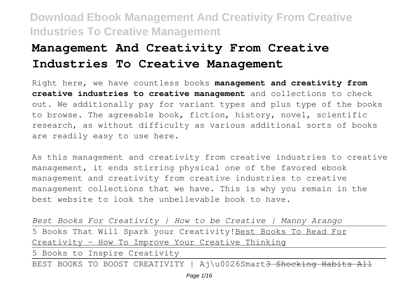# **Management And Creativity From Creative Industries To Creative Management**

Right here, we have countless books **management and creativity from creative industries to creative management** and collections to check out. We additionally pay for variant types and plus type of the books to browse. The agreeable book, fiction, history, novel, scientific research, as without difficulty as various additional sorts of books are readily easy to use here.

As this management and creativity from creative industries to creative management, it ends stirring physical one of the favored ebook management and creativity from creative industries to creative management collections that we have. This is why you remain in the best website to look the unbelievable book to have.

| Best Books For Creativity   How to be Creative   Manny Arango   |
|-----------------------------------------------------------------|
| 5 Books That Will Spark your Creativity! Best Books To Read For |
| Creativity - How To Improve Your Creative Thinking              |
| 5 Books to Inspire Creativity                                   |
|                                                                 |

BEST BOOKS TO BOOST CREATIVITY | Aj\u0026Smart<del>3 Shocking Habit</del>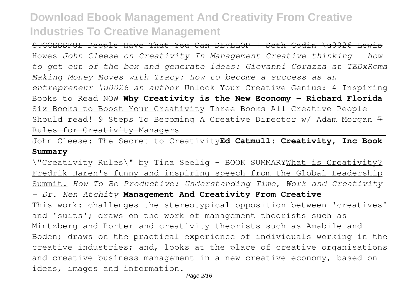SUCCESSFUL People Have That You Can DEVELOP | Seth Godin \u0026 Lewis Howes *John Cleese on Creativity In Management Creative thinking - how to get out of the box and generate ideas: Giovanni Corazza at TEDxRoma Making Money Moves with Tracy: How to become a success as an entrepreneur \u0026 an author* Unlock Your Creative Genius: 4 Inspiring Books to Read NOW **Why Creativity is the New Economy - Richard Florida** Six Books to Boost Your Creativity Three Books All Creative People Should read! 9 Steps To Becoming A Creative Director  $w/$  Adam Morgan 7 Rules for Creativity Managers

John Cleese: The Secret to Creativity**Ed Catmull: Creativity, Inc Book Summary**

\"Creativity Rules\" by Tina Seelig - BOOK SUMMARYWhat is Creativity? Fredrik Haren's funny and inspiring speech from the Global Leadership Summit. *How To Be Productive: Understanding Time, Work and Creativity - Dr. Ken Atchity* **Management And Creativity From Creative** This work: challenges the stereotypical opposition between 'creatives' and 'suits'; draws on the work of management theorists such as Mintzberg and Porter and creativity theorists such as Amabile and Boden; draws on the practical experience of individuals working in the creative industries; and, looks at the place of creative organisations and creative business management in a new creative economy, based on ideas, images and information.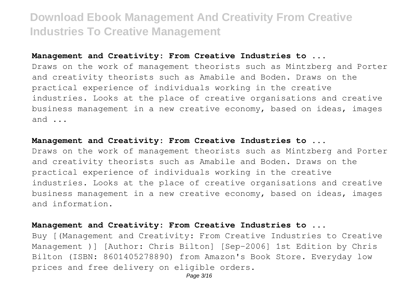#### **Management and Creativity: From Creative Industries to ...**

Draws on the work of management theorists such as Mintzberg and Porter and creativity theorists such as Amabile and Boden. Draws on the practical experience of individuals working in the creative industries. Looks at the place of creative organisations and creative business management in a new creative economy, based on ideas, images and ...

#### **Management and Creativity: From Creative Industries to ...**

Draws on the work of management theorists such as Mintzberg and Porter and creativity theorists such as Amabile and Boden. Draws on the practical experience of individuals working in the creative industries. Looks at the place of creative organisations and creative business management in a new creative economy, based on ideas, images and information.

#### **Management and Creativity: From Creative Industries to ...**

Buy [(Management and Creativity: From Creative Industries to Creative Management )] [Author: Chris Bilton] [Sep-2006] 1st Edition by Chris Bilton (ISBN: 8601405278890) from Amazon's Book Store. Everyday low prices and free delivery on eligible orders.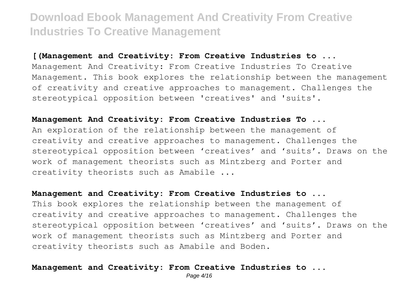#### **[(Management and Creativity: From Creative Industries to ...**

Management And Creativity: From Creative Industries To Creative Management. This book explores the relationship between the management of creativity and creative approaches to management. Challenges the stereotypical opposition between 'creatives' and 'suits'.

#### **Management And Creativity: From Creative Industries To ...**

An exploration of the relationship between the management of creativity and creative approaches to management. Challenges the stereotypical opposition between 'creatives' and 'suits'. Draws on the work of management theorists such as Mintzberg and Porter and creativity theorists such as Amabile ...

#### **Management and Creativity: From Creative Industries to ...**

This book explores the relationship between the management of creativity and creative approaches to management. Challenges the stereotypical opposition between 'creatives' and 'suits'. Draws on the work of management theorists such as Mintzberg and Porter and creativity theorists such as Amabile and Boden.

#### **Management and Creativity: From Creative Industries to ...**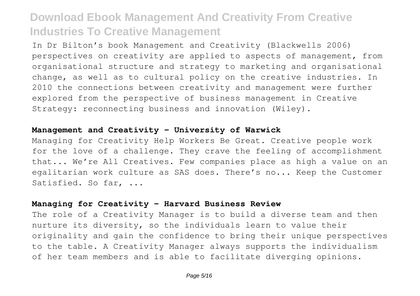In Dr Bilton's book Management and Creativity (Blackwells 2006) perspectives on creativity are applied to aspects of management, from organisational structure and strategy to marketing and organisational change, as well as to cultural policy on the creative industries. In 2010 the connections between creativity and management were further explored from the perspective of business management in Creative Strategy: reconnecting business and innovation (Wiley).

#### **Management and Creativity - University of Warwick**

Managing for Creativity Help Workers Be Great. Creative people work for the love of a challenge. They crave the feeling of accomplishment that... We're All Creatives. Few companies place as high a value on an egalitarian work culture as SAS does. There's no... Keep the Customer Satisfied. So far, ...

#### **Managing for Creativity - Harvard Business Review**

The role of a Creativity Manager is to build a diverse team and then nurture its diversity, so the individuals learn to value their originality and gain the confidence to bring their unique perspectives to the table. A Creativity Manager always supports the individualism of her team members and is able to facilitate diverging opinions.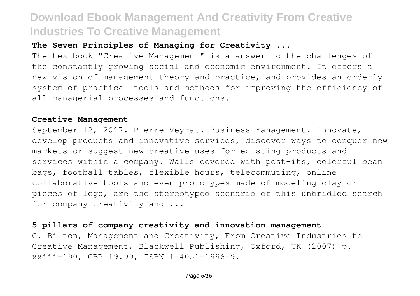### **The Seven Principles of Managing for Creativity ...**

The textbook "Creative Management" is a answer to the challenges of the constantly growing social and economic environment. It offers a new vision of management theory and practice, and provides an orderly system of practical tools and methods for improving the efficiency of all managerial processes and functions.

#### **Creative Management**

September 12, 2017. Pierre Veyrat. Business Management. Innovate, develop products and innovative services, discover ways to conquer new markets or suggest new creative uses for existing products and services within a company. Walls covered with post-its, colorful bean bags, football tables, flexible hours, telecommuting, online collaborative tools and even prototypes made of modeling clay or pieces of lego, are the stereotyped scenario of this unbridled search for company creativity and ...

#### **5 pillars of company creativity and innovation management**

C. Bilton, Management and Creativity, From Creative Industries to Creative Management, Blackwell Publishing, Oxford, UK (2007) p. xxiii+190, GBP 19.99, ISBN 1-4051-1996-9.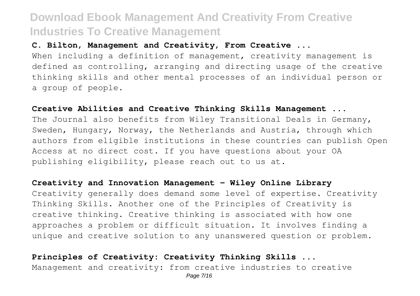#### **C. Bilton, Management and Creativity, From Creative ...**

When including a definition of management, creativity management is defined as controlling, arranging and directing usage of the creative thinking skills and other mental processes of an individual person or a group of people.

#### **Creative Abilities and Creative Thinking Skills Management ...**

The Journal also benefits from Wiley Transitional Deals in Germany, Sweden, Hungary, Norway, the Netherlands and Austria, through which authors from eligible institutions in these countries can publish Open Access at no direct cost. If you have questions about your OA publishing eligibility, please reach out to us at.

#### **Creativity and Innovation Management - Wiley Online Library**

Creativity generally does demand some level of expertise. Creativity Thinking Skills. Another one of the Principles of Creativity is creative thinking. Creative thinking is associated with how one approaches a problem or difficult situation. It involves finding a unique and creative solution to any unanswered question or problem.

**Principles of Creativity: Creativity Thinking Skills ...** Management and creativity: from creative industries to creative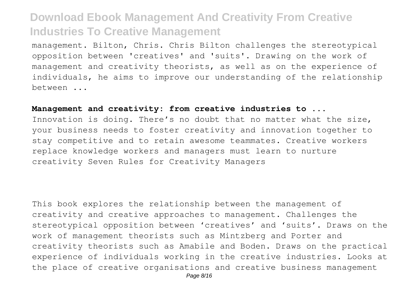management. Bilton, Chris. Chris Bilton challenges the stereotypical opposition between 'creatives' and 'suits'. Drawing on the work of management and creativity theorists, as well as on the experience of individuals, he aims to improve our understanding of the relationship between ...

#### **Management and creativity: from creative industries to ...**

Innovation is doing. There's no doubt that no matter what the size, your business needs to foster creativity and innovation together to stay competitive and to retain awesome teammates. Creative workers replace knowledge workers and managers must learn to nurture creativity Seven Rules for Creativity Managers

This book explores the relationship between the management of creativity and creative approaches to management. Challenges the stereotypical opposition between 'creatives' and 'suits'. Draws on the work of management theorists such as Mintzberg and Porter and creativity theorists such as Amabile and Boden. Draws on the practical experience of individuals working in the creative industries. Looks at the place of creative organisations and creative business management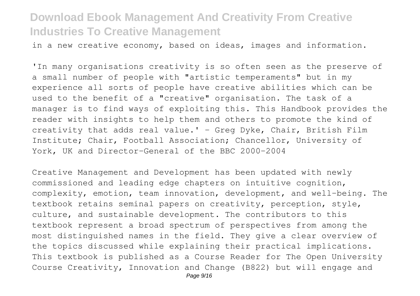in a new creative economy, based on ideas, images and information.

'In many organisations creativity is so often seen as the preserve of a small number of people with "artistic temperaments" but in my experience all sorts of people have creative abilities which can be used to the benefit of a "creative" organisation. The task of a manager is to find ways of exploiting this. This Handbook provides the reader with insights to help them and others to promote the kind of creativity that adds real value.' - Greg Dyke, Chair, British Film Institute; Chair, Football Association; Chancellor, University of York, UK and Director-General of the BBC 2000-2004

Creative Management and Development has been updated with newly commissioned and leading edge chapters on intuitive cognition, complexity, emotion, team innovation, development, and well-being. The textbook retains seminal papers on creativity, perception, style, culture, and sustainable development. The contributors to this textbook represent a broad spectrum of perspectives from among the most distinguished names in the field. They give a clear overview of the topics discussed while explaining their practical implications. This textbook is published as a Course Reader for The Open University Course Creativity, Innovation and Change (B822) but will engage and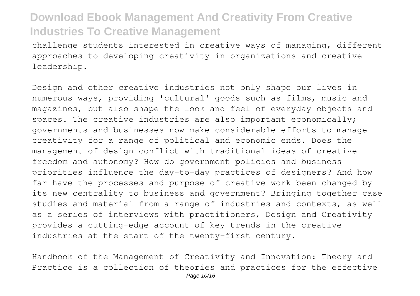challenge students interested in creative ways of managing, different approaches to developing creativity in organizations and creative leadership.

Design and other creative industries not only shape our lives in numerous ways, providing 'cultural' goods such as films, music and magazines, but also shape the look and feel of everyday objects and spaces. The creative industries are also important economically; governments and businesses now make considerable efforts to manage creativity for a range of political and economic ends. Does the management of design conflict with traditional ideas of creative freedom and autonomy? How do government policies and business priorities influence the day-to-day practices of designers? And how far have the processes and purpose of creative work been changed by its new centrality to business and government? Bringing together case studies and material from a range of industries and contexts, as well as a series of interviews with practitioners, Design and Creativity provides a cutting-edge account of key trends in the creative industries at the start of the twenty-first century.

Handbook of the Management of Creativity and Innovation: Theory and Practice is a collection of theories and practices for the effective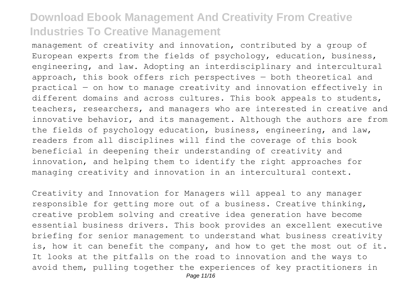management of creativity and innovation, contributed by a group of European experts from the fields of psychology, education, business, engineering, and law. Adopting an interdisciplinary and intercultural approach, this book offers rich perspectives — both theoretical and practical — on how to manage creativity and innovation effectively in different domains and across cultures. This book appeals to students, teachers, researchers, and managers who are interested in creative and innovative behavior, and its management. Although the authors are from the fields of psychology education, business, engineering, and law, readers from all disciplines will find the coverage of this book beneficial in deepening their understanding of creativity and innovation, and helping them to identify the right approaches for managing creativity and innovation in an intercultural context.

Creativity and Innovation for Managers will appeal to any manager responsible for getting more out of a business. Creative thinking, creative problem solving and creative idea generation have become essential business drivers. This book provides an excellent executive briefing for senior management to understand what business creativity is, how it can benefit the company, and how to get the most out of it. It looks at the pitfalls on the road to innovation and the ways to avoid them, pulling together the experiences of key practitioners in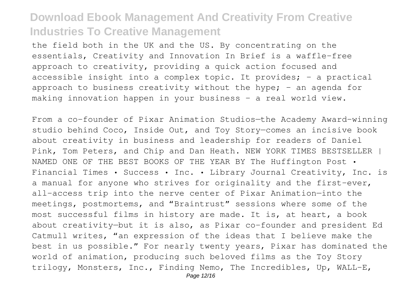the field both in the UK and the US. By concentrating on the essentials, Creativity and Innovation In Brief is a waffle-free approach to creativity, providing a quick action focused and accessible insight into a complex topic. It provides;  $-$  a practical approach to business creativity without the hype;  $-$  an agenda for making innovation happen in your business - a real world view.

From a co-founder of Pixar Animation Studios—the Academy Award–winning studio behind Coco, Inside Out, and Toy Story—comes an incisive book about creativity in business and leadership for readers of Daniel Pink, Tom Peters, and Chip and Dan Heath. NEW YORK TIMES BESTSELLER | NAMED ONE OF THE BEST BOOKS OF THE YEAR BY The Huffington Post • Financial Times • Success • Inc. • Library Journal Creativity, Inc. is a manual for anyone who strives for originality and the first-ever, all-access trip into the nerve center of Pixar Animation—into the meetings, postmortems, and "Braintrust" sessions where some of the most successful films in history are made. It is, at heart, a book about creativity—but it is also, as Pixar co-founder and president Ed Catmull writes, "an expression of the ideas that I believe make the best in us possible." For nearly twenty years, Pixar has dominated the world of animation, producing such beloved films as the Toy Story trilogy, Monsters, Inc., Finding Nemo, The Incredibles, Up, WALL-E,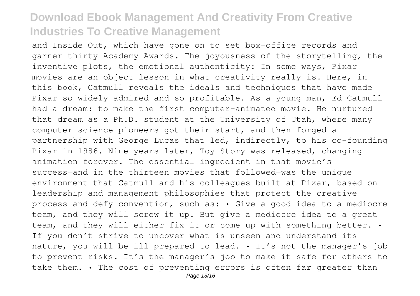and Inside Out, which have gone on to set box-office records and garner thirty Academy Awards. The joyousness of the storytelling, the inventive plots, the emotional authenticity: In some ways, Pixar movies are an object lesson in what creativity really is. Here, in this book, Catmull reveals the ideals and techniques that have made Pixar so widely admired—and so profitable. As a young man, Ed Catmull had a dream: to make the first computer-animated movie. He nurtured that dream as a Ph.D. student at the University of Utah, where many computer science pioneers got their start, and then forged a partnership with George Lucas that led, indirectly, to his co-founding Pixar in 1986. Nine years later, Toy Story was released, changing animation forever. The essential ingredient in that movie's success—and in the thirteen movies that followed—was the unique environment that Catmull and his colleagues built at Pixar, based on leadership and management philosophies that protect the creative process and defy convention, such as: • Give a good idea to a mediocre team, and they will screw it up. But give a mediocre idea to a great team, and they will either fix it or come up with something better. • If you don't strive to uncover what is unseen and understand its nature, you will be ill prepared to lead. • It's not the manager's job to prevent risks. It's the manager's job to make it safe for others to take them. • The cost of preventing errors is often far greater than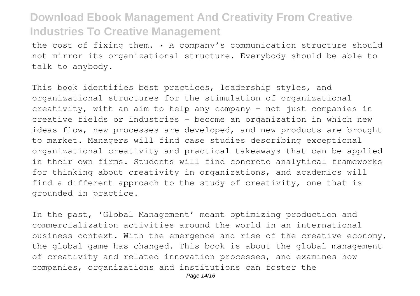the cost of fixing them. • A company's communication structure should not mirror its organizational structure. Everybody should be able to talk to anybody.

This book identifies best practices, leadership styles, and organizational structures for the stimulation of organizational creativity, with an aim to help any company – not just companies in creative fields or industries – become an organization in which new ideas flow, new processes are developed, and new products are brought to market. Managers will find case studies describing exceptional organizational creativity and practical takeaways that can be applied in their own firms. Students will find concrete analytical frameworks for thinking about creativity in organizations, and academics will find a different approach to the study of creativity, one that is grounded in practice.

In the past, 'Global Management' meant optimizing production and commercialization activities around the world in an international business context. With the emergence and rise of the creative economy, the global game has changed. This book is about the global management of creativity and related innovation processes, and examines how companies, organizations and institutions can foster the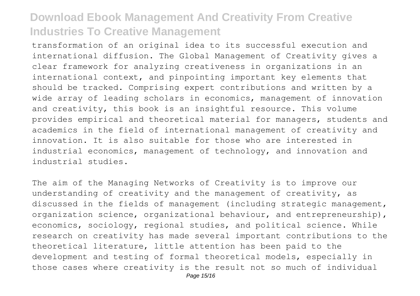transformation of an original idea to its successful execution and international diffusion. The Global Management of Creativity gives a clear framework for analyzing creativeness in organizations in an international context, and pinpointing important key elements that should be tracked. Comprising expert contributions and written by a wide array of leading scholars in economics, management of innovation and creativity, this book is an insightful resource. This volume provides empirical and theoretical material for managers, students and academics in the field of international management of creativity and innovation. It is also suitable for those who are interested in industrial economics, management of technology, and innovation and industrial studies.

The aim of the Managing Networks of Creativity is to improve our understanding of creativity and the management of creativity, as discussed in the fields of management (including strategic management, organization science, organizational behaviour, and entrepreneurship), economics, sociology, regional studies, and political science. While research on creativity has made several important contributions to the theoretical literature, little attention has been paid to the development and testing of formal theoretical models, especially in those cases where creativity is the result not so much of individual